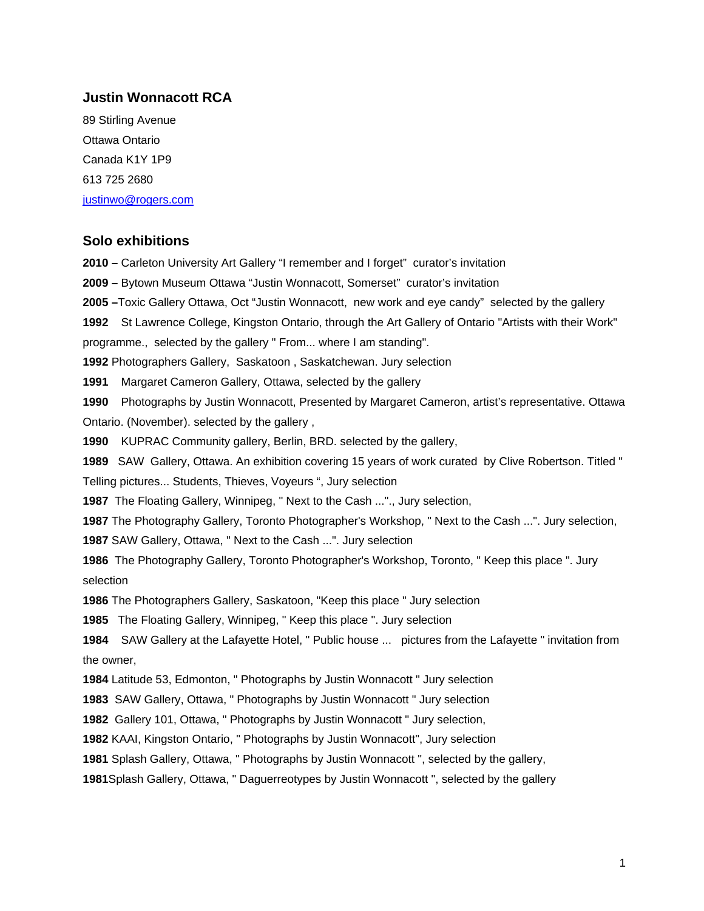#### **Justin Wonnacott RCA**

89 Stirling Avenue Ottawa Ontario Canada K1Y 1P9 613 725 2680 [justinwo@rogers.com](mailto:justinwo@rogers.com)

### **Solo exhibitions**

**2010 –** Carleton University Art Gallery "I remember and I forget" curator's invitation **2009 –** Bytown Museum Ottawa "Justin Wonnacott, Somerset" curator's invitation **2005 –**Toxic Gallery Ottawa, Oct "Justin Wonnacott, new work and eye candy" selected by the gallery St Lawrence College, Kingston Ontario, through the Art Gallery of Ontario "Artists with their Work" programme., selected by the gallery " From... where I am standing". Photographers Gallery, Saskatoon , Saskatchewan. Jury selection Margaret Cameron Gallery, Ottawa, selected by the gallery Photographs by Justin Wonnacott, Presented by Margaret Cameron, artist's representative. Ottawa Ontario. (November). selected by the gallery , KUPRAC Community gallery, Berlin, BRD. selected by the gallery, SAW Gallery, Ottawa. An exhibition covering 15 years of work curated by Clive Robertson. Titled " Telling pictures... Students, Thieves, Voyeurs ", Jury selection The Floating Gallery, Winnipeg, " Next to the Cash ..."., Jury selection, The Photography Gallery, Toronto Photographer's Workshop, " Next to the Cash ...". Jury selection, SAW Gallery, Ottawa, " Next to the Cash ...". Jury selection The Photography Gallery, Toronto Photographer's Workshop, Toronto, " Keep this place ". Jury selection The Photographers Gallery, Saskatoon, "Keep this place " Jury selection The Floating Gallery, Winnipeg, " Keep this place ". Jury selection SAW Gallery at the Lafayette Hotel, " Public house ... pictures from the Lafayette " invitation from the owner, Latitude 53, Edmonton, " Photographs by Justin Wonnacott " Jury selection SAW Gallery, Ottawa, " Photographs by Justin Wonnacott " Jury selection Gallery 101, Ottawa, " Photographs by Justin Wonnacott " Jury selection, KAAI, Kingston Ontario, " Photographs by Justin Wonnacott", Jury selection Splash Gallery, Ottawa, " Photographs by Justin Wonnacott ", selected by the gallery,

**1981**Splash Gallery, Ottawa, " Daguerreotypes by Justin Wonnacott ", selected by the gallery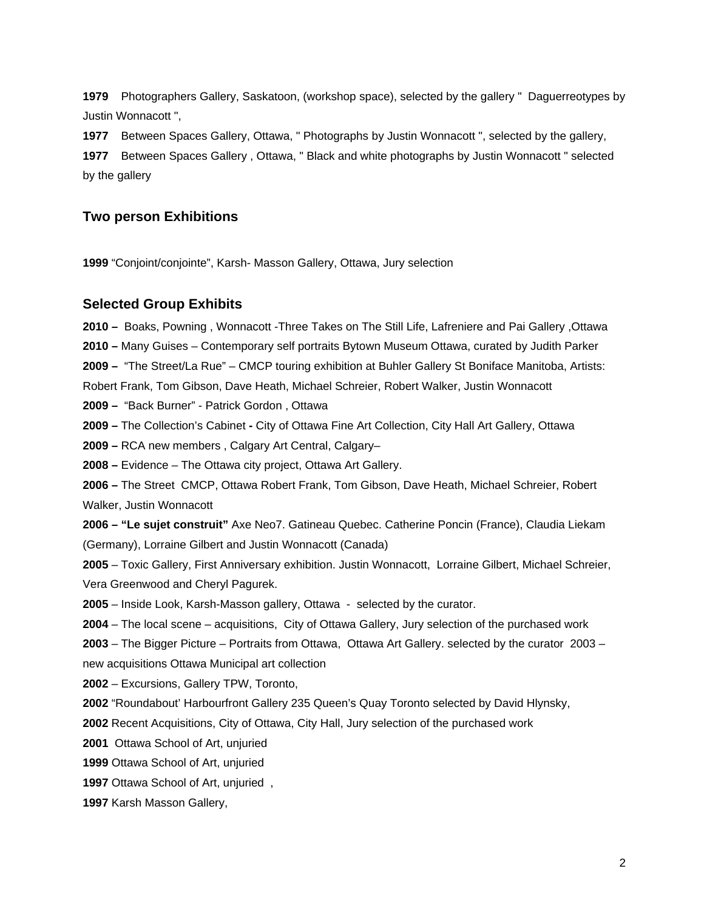**1979** Photographers Gallery, Saskatoon, (workshop space), selected by the gallery " Daguerreotypes by Justin Wonnacott ",

**1977** Between Spaces Gallery, Ottawa, " Photographs by Justin Wonnacott ", selected by the gallery, **1977** Between Spaces Gallery , Ottawa, " Black and white photographs by Justin Wonnacott " selected by the gallery

## **Two person Exhibitions**

**1999** "Conjoint/conjointe", Karsh- Masson Gallery, Ottawa, Jury selection

### **Selected Group Exhibits**

**2010 –** Boaks, Powning , Wonnacott -Three Takes on The Still Life, Lafreniere and Pai Gallery ,Ottawa **2010 –** Many Guises – Contemporary self portraits Bytown Museum Ottawa, curated by Judith Parker **2009 –** "The Street/La Rue" – CMCP touring exhibition at Buhler Gallery St Boniface Manitoba, Artists: Robert Frank, Tom Gibson, Dave Heath, Michael Schreier, Robert Walker, Justin Wonnacott **2009 –** "Back Burner" - Patrick Gordon , Ottawa **2009 –** The Collection's Cabinet **-** City of Ottawa Fine Art Collection, City Hall Art Gallery, Ottawa **2009 –** RCA new members , Calgary Art Central, Calgary– **2008 –** Evidence – The Ottawa city project, Ottawa Art Gallery. **2006 –** The Street CMCP, Ottawa Robert Frank, Tom Gibson, Dave Heath, Michael Schreier, Robert Walker, Justin Wonnacott **2006 – "Le sujet construit"** Axe Neo7. Gatineau Quebec. Catherine Poncin (France), Claudia Liekam (Germany), Lorraine Gilbert and Justin Wonnacott (Canada) **2005** – Toxic Gallery, First Anniversary exhibition. Justin Wonnacott, Lorraine Gilbert, Michael Schreier, Vera Greenwood and Cheryl Pagurek. **2005** – Inside Look, Karsh-Masson gallery, Ottawa - selected by the curator. **2004** – The local scene – acquisitions, City of Ottawa Gallery, Jury selection of the purchased work **2003** – The Bigger Picture – Portraits from Ottawa, Ottawa Art Gallery. selected by the curator 2003 – new acquisitions Ottawa Municipal art collection **2002** – Excursions, Gallery TPW, Toronto, **2002** "Roundabout' Harbourfront Gallery 235 Queen's Quay Toronto selected by David Hlynsky, **2002** Recent Acquisitions, City of Ottawa, City Hall, Jury selection of the purchased work **2001** Ottawa School of Art, unjuried **1999** Ottawa School of Art, unjuried **1997** Ottawa School of Art, unjuried ,

**1997** Karsh Masson Gallery,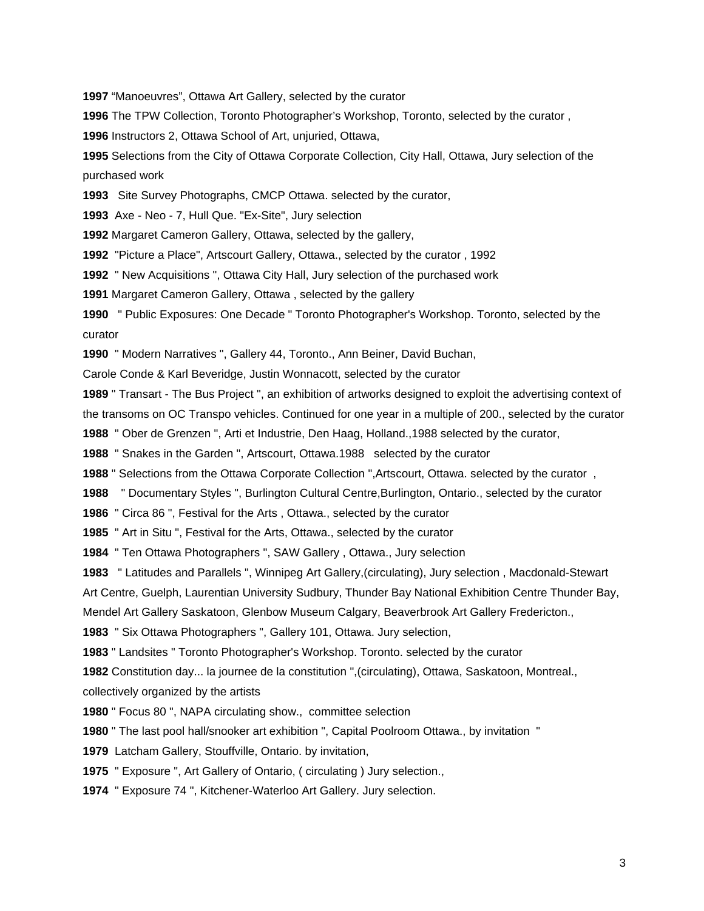"Manoeuvres", Ottawa Art Gallery, selected by the curator

The TPW Collection, Toronto Photographer's Workshop, Toronto, selected by the curator ,

Instructors 2, Ottawa School of Art, unjuried, Ottawa,

 Selections from the City of Ottawa Corporate Collection, City Hall, Ottawa, Jury selection of the purchased work

Site Survey Photographs, CMCP Ottawa. selected by the curator,

Axe - Neo - 7, Hull Que. "Ex-Site", Jury selection

Margaret Cameron Gallery, Ottawa, selected by the gallery,

"Picture a Place", Artscourt Gallery, Ottawa., selected by the curator , 1992

" New Acquisitions ", Ottawa City Hall, Jury selection of the purchased work

Margaret Cameron Gallery, Ottawa , selected by the gallery

 " Public Exposures: One Decade " Toronto Photographer's Workshop. Toronto, selected by the curator

" Modern Narratives ", Gallery 44, Toronto., Ann Beiner, David Buchan,

Carole Conde & Karl Beveridge, Justin Wonnacott, selected by the curator

 " Transart - The Bus Project ", an exhibition of artworks designed to exploit the advertising context of the transoms on OC Transpo vehicles. Continued for one year in a multiple of 200., selected by the curator

" Ober de Grenzen ", Arti et Industrie, Den Haag, Holland.,1988 selected by the curator,

" Snakes in the Garden ", Artscourt, Ottawa.1988 selected by the curator

" Selections from the Ottawa Corporate Collection ",Artscourt, Ottawa. selected by the curator ,

" Documentary Styles ", Burlington Cultural Centre,Burlington, Ontario., selected by the curator

" Circa 86 ", Festival for the Arts , Ottawa., selected by the curator

" Art in Situ ", Festival for the Arts, Ottawa., selected by the curator

" Ten Ottawa Photographers ", SAW Gallery , Ottawa., Jury selection

" Latitudes and Parallels ", Winnipeg Art Gallery,(circulating), Jury selection , Macdonald-Stewart

Art Centre, Guelph, Laurentian University Sudbury, Thunder Bay National Exhibition Centre Thunder Bay,

Mendel Art Gallery Saskatoon, Glenbow Museum Calgary, Beaverbrook Art Gallery Fredericton.,

" Six Ottawa Photographers ", Gallery 101, Ottawa. Jury selection,

" Landsites " Toronto Photographer's Workshop. Toronto. selected by the curator

 Constitution day... la journee de la constitution ",(circulating), Ottawa, Saskatoon, Montreal., collectively organized by the artists

" Focus 80 ", NAPA circulating show., committee selection

" The last pool hall/snooker art exhibition ", Capital Poolroom Ottawa., by invitation "

Latcham Gallery, Stouffville, Ontario. by invitation,

" Exposure ", Art Gallery of Ontario, ( circulating ) Jury selection.,

" Exposure 74 ", Kitchener-Waterloo Art Gallery. Jury selection.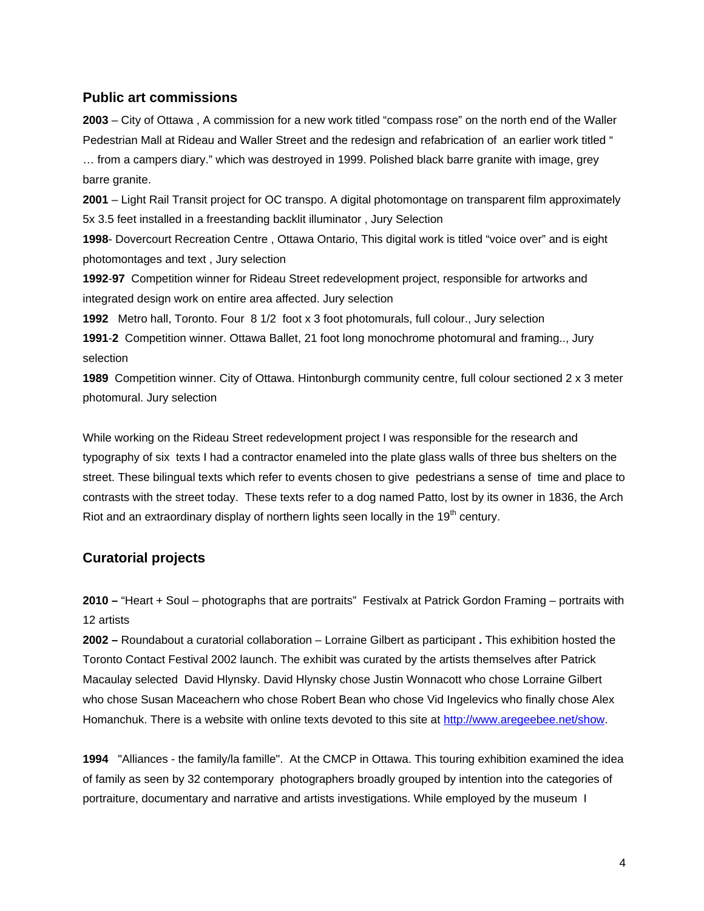### **Public art commissions**

**2003** – City of Ottawa , A commission for a new work titled "compass rose" on the north end of the Waller Pedestrian Mall at Rideau and Waller Street and the redesign and refabrication of an earlier work titled " … from a campers diary." which was destroyed in 1999. Polished black barre granite with image, grey barre granite.

**2001** – Light Rail Transit project for OC transpo. A digital photomontage on transparent film approximately 5x 3.5 feet installed in a freestanding backlit illuminator , Jury Selection

**1998**- Dovercourt Recreation Centre , Ottawa Ontario, This digital work is titled "voice over" and is eight photomontages and text , Jury selection

**1992**-**97** Competition winner for Rideau Street redevelopment project, responsible for artworks and integrated design work on entire area affected. Jury selection

**1992** Metro hall, Toronto. Four 8 1/2 foot x 3 foot photomurals, full colour., Jury selection

**1991**-**2** Competition winner. Ottawa Ballet, 21 foot long monochrome photomural and framing.., Jury selection

**1989** Competition winner. City of Ottawa. Hintonburgh community centre, full colour sectioned 2 x 3 meter photomural. Jury selection

While working on the Rideau Street redevelopment project I was responsible for the research and typography of six texts I had a contractor enameled into the plate glass walls of three bus shelters on the street. These bilingual texts which refer to events chosen to give pedestrians a sense of time and place to contrasts with the street today. These texts refer to a dog named Patto, lost by its owner in 1836, the Arch Riot and an extraordinary display of northern lights seen locally in the  $19<sup>th</sup>$  century.

# **Curatorial projects**

**2010 –** "Heart + Soul – photographs that are portraits" Festivalx at Patrick Gordon Framing – portraits with 12 artists

**2002 –** Roundabout a curatorial collaboration – Lorraine Gilbert as participant **.** This exhibition hosted the Toronto Contact Festival 2002 launch. The exhibit was curated by the artists themselves after Patrick Macaulay selected David Hlynsky. David Hlynsky chose Justin Wonnacott who chose Lorraine Gilbert who chose Susan Maceachern who chose Robert Bean who chose Vid Ingelevics who finally chose Alex Homanchuk. There is a website with online texts devoted to this site at <http://www.aregeebee.net/show>.

**1994** "Alliances - the family/la famille". At the CMCP in Ottawa. This touring exhibition examined the idea of family as seen by 32 contemporary photographers broadly grouped by intention into the categories of portraiture, documentary and narrative and artists investigations. While employed by the museum I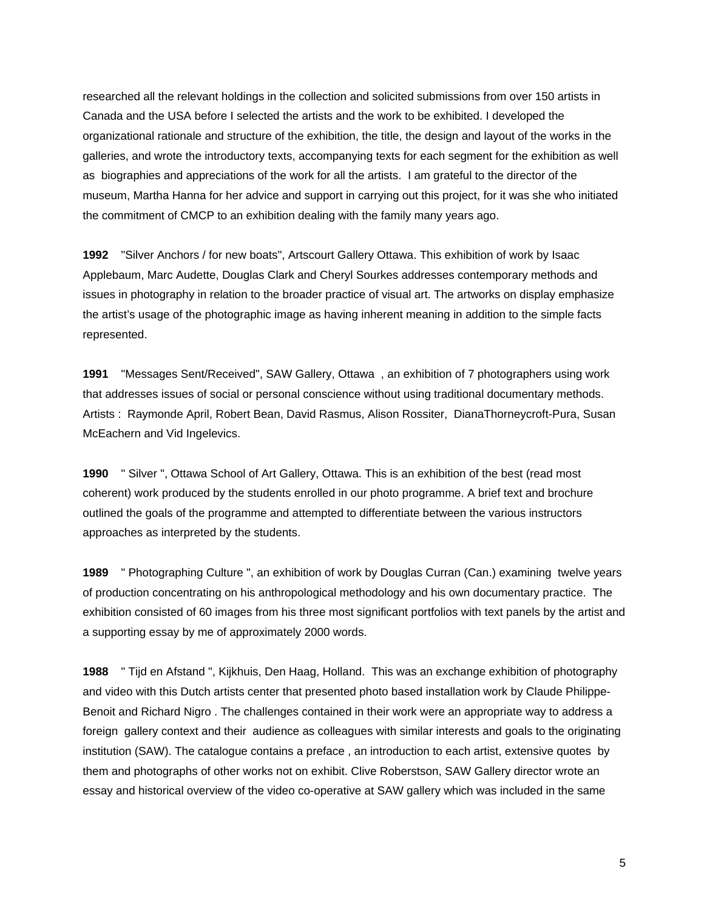researched all the relevant holdings in the collection and solicited submissions from over 150 artists in Canada and the USA before I selected the artists and the work to be exhibited. I developed the organizational rationale and structure of the exhibition, the title, the design and layout of the works in the galleries, and wrote the introductory texts, accompanying texts for each segment for the exhibition as well as biographies and appreciations of the work for all the artists. I am grateful to the director of the museum, Martha Hanna for her advice and support in carrying out this project, for it was she who initiated the commitment of CMCP to an exhibition dealing with the family many years ago.

**1992** "Silver Anchors / for new boats", Artscourt Gallery Ottawa. This exhibition of work by Isaac Applebaum, Marc Audette, Douglas Clark and Cheryl Sourkes addresses contemporary methods and issues in photography in relation to the broader practice of visual art. The artworks on display emphasize the artist's usage of the photographic image as having inherent meaning in addition to the simple facts represented.

**1991** "Messages Sent/Received", SAW Gallery, Ottawa , an exhibition of 7 photographers using work that addresses issues of social or personal conscience without using traditional documentary methods. Artists : Raymonde April, Robert Bean, David Rasmus, Alison Rossiter, DianaThorneycroft-Pura, Susan McEachern and Vid Ingelevics.

**1990** " Silver ", Ottawa School of Art Gallery, Ottawa. This is an exhibition of the best (read most coherent) work produced by the students enrolled in our photo programme. A brief text and brochure outlined the goals of the programme and attempted to differentiate between the various instructors approaches as interpreted by the students.

**1989** " Photographing Culture ", an exhibition of work by Douglas Curran (Can.) examining twelve years of production concentrating on his anthropological methodology and his own documentary practice. The exhibition consisted of 60 images from his three most significant portfolios with text panels by the artist and a supporting essay by me of approximately 2000 words.

**1988** " Tijd en Afstand ", Kijkhuis, Den Haag, Holland. This was an exchange exhibition of photography and video with this Dutch artists center that presented photo based installation work by Claude Philippe-Benoit and Richard Nigro . The challenges contained in their work were an appropriate way to address a foreign gallery context and their audience as colleagues with similar interests and goals to the originating institution (SAW). The catalogue contains a preface , an introduction to each artist, extensive quotes by them and photographs of other works not on exhibit. Clive Roberstson, SAW Gallery director wrote an essay and historical overview of the video co-operative at SAW gallery which was included in the same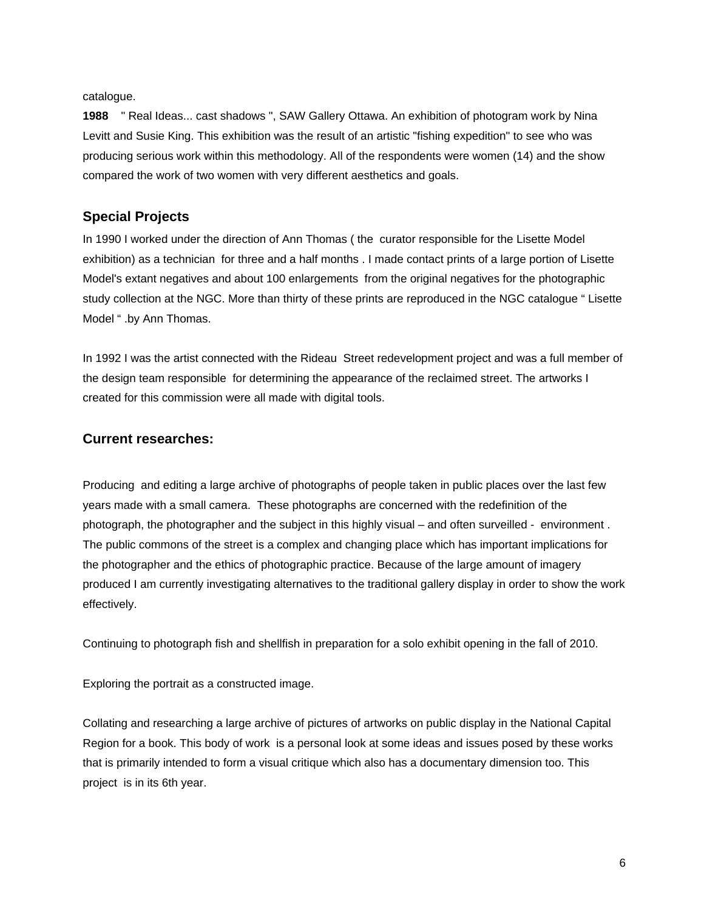catalogue.

**1988** " Real Ideas... cast shadows ", SAW Gallery Ottawa. An exhibition of photogram work by Nina Levitt and Susie King. This exhibition was the result of an artistic "fishing expedition" to see who was producing serious work within this methodology. All of the respondents were women (14) and the show compared the work of two women with very different aesthetics and goals.

### **Special Projects**

In 1990 I worked under the direction of Ann Thomas ( the curator responsible for the Lisette Model exhibition) as a technician for three and a half months . I made contact prints of a large portion of Lisette Model's extant negatives and about 100 enlargements from the original negatives for the photographic study collection at the NGC. More than thirty of these prints are reproduced in the NGC catalogue " Lisette Model " .by Ann Thomas.

In 1992 I was the artist connected with the Rideau Street redevelopment project and was a full member of the design team responsible for determining the appearance of the reclaimed street. The artworks I created for this commission were all made with digital tools.

### **Current researches:**

Producing and editing a large archive of photographs of people taken in public places over the last few years made with a small camera. These photographs are concerned with the redefinition of the photograph, the photographer and the subject in this highly visual – and often surveilled - environment . The public commons of the street is a complex and changing place which has important implications for the photographer and the ethics of photographic practice. Because of the large amount of imagery produced I am currently investigating alternatives to the traditional gallery display in order to show the work effectively.

Continuing to photograph fish and shellfish in preparation for a solo exhibit opening in the fall of 2010.

Exploring the portrait as a constructed image.

Collating and researching a large archive of pictures of artworks on public display in the National Capital Region for a book. This body of work is a personal look at some ideas and issues posed by these works that is primarily intended to form a visual critique which also has a documentary dimension too. This project is in its 6th year.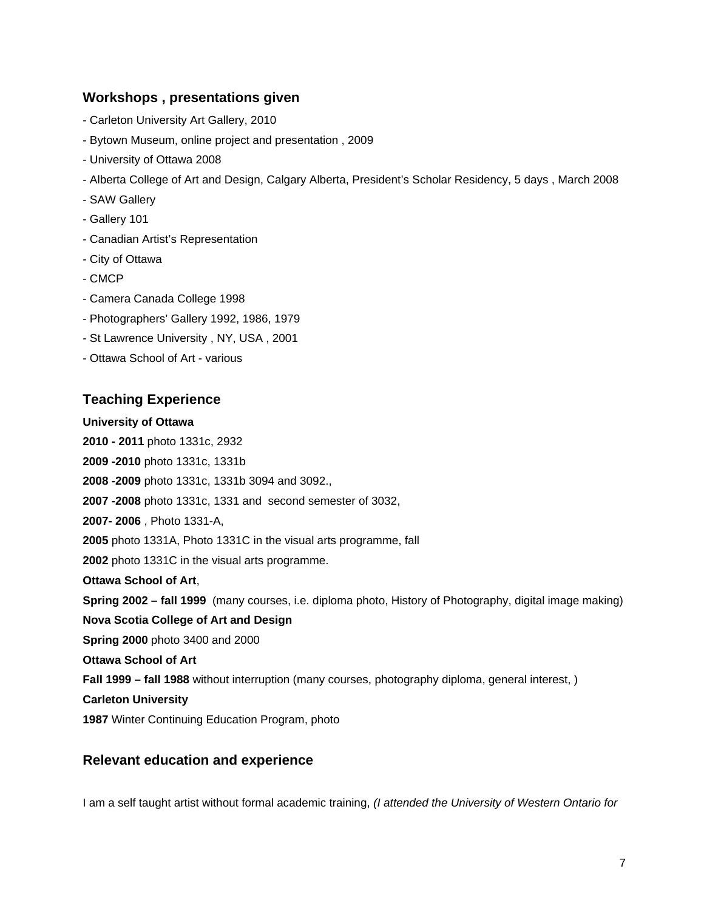# **Workshops , presentations given**

- Carleton University Art Gallery, 2010
- Bytown Museum, online project and presentation , 2009
- University of Ottawa 2008
- Alberta College of Art and Design, Calgary Alberta, President's Scholar Residency, 5 days , March 2008
- SAW Gallery
- Gallery 101
- Canadian Artist's Representation
- City of Ottawa
- CMCP
- Camera Canada College 1998
- Photographers' Gallery 1992, 1986, 1979
- St Lawrence University , NY, USA , 2001
- Ottawa School of Art various

# **Teaching Experience**

### **University of Ottawa**

**2010 - 2011** photo 1331c, 2932

**2009 -2010** photo 1331c, 1331b

**2008 -2009** photo 1331c, 1331b 3094 and 3092.,

**2007 -2008** photo 1331c, 1331 and second semester of 3032,

**2007- 2006** , Photo 1331-A,

**2005** photo 1331A, Photo 1331C in the visual arts programme, fall

**2002** photo 1331C in the visual arts programme.

**Ottawa School of Art**,

**Spring 2002 – fall 1999** (many courses, i.e. diploma photo, History of Photography, digital image making)

**Nova Scotia College of Art and Design** 

**Spring 2000** photo 3400 and 2000

**Ottawa School of Art** 

**Fall 1999 – fall 1988** without interruption (many courses, photography diploma, general interest, )

**Carleton University** 

**1987** Winter Continuing Education Program, photo

# **Relevant education and experience**

I am a self taught artist without formal academic training, *(I attended the University of Western Ontario for*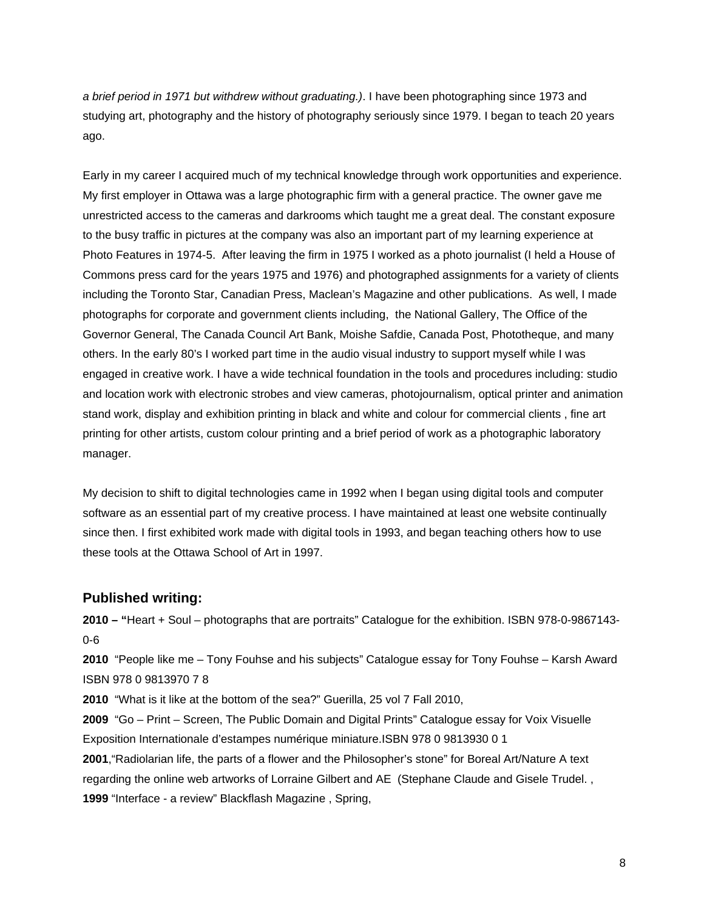*a brief period in 1971 but withdrew without graduating.)*. I have been photographing since 1973 and studying art, photography and the history of photography seriously since 1979. I began to teach 20 years ago.

Early in my career I acquired much of my technical knowledge through work opportunities and experience. My first employer in Ottawa was a large photographic firm with a general practice. The owner gave me unrestricted access to the cameras and darkrooms which taught me a great deal. The constant exposure to the busy traffic in pictures at the company was also an important part of my learning experience at Photo Features in 1974-5. After leaving the firm in 1975 I worked as a photo journalist (I held a House of Commons press card for the years 1975 and 1976) and photographed assignments for a variety of clients including the Toronto Star, Canadian Press, Maclean's Magazine and other publications. As well, I made photographs for corporate and government clients including, the National Gallery, The Office of the Governor General, The Canada Council Art Bank, Moishe Safdie, Canada Post, Phototheque, and many others. In the early 80's I worked part time in the audio visual industry to support myself while I was engaged in creative work. I have a wide technical foundation in the tools and procedures including: studio and location work with electronic strobes and view cameras, photojournalism, optical printer and animation stand work, display and exhibition printing in black and white and colour for commercial clients , fine art printing for other artists, custom colour printing and a brief period of work as a photographic laboratory manager.

My decision to shift to digital technologies came in 1992 when I began using digital tools and computer software as an essential part of my creative process. I have maintained at least one website continually since then. I first exhibited work made with digital tools in 1993, and began teaching others how to use these tools at the Ottawa School of Art in 1997.

### **Published writing:**

**2010 – "**Heart + Soul – photographs that are portraits" Catalogue for the exhibition. ISBN 978-0-9867143- 0-6

**2010** "People like me – Tony Fouhse and his subjects" Catalogue essay for Tony Fouhse – Karsh Award ISBN 978 0 9813970 7 8

**2010** "What is it like at the bottom of the sea?" Guerilla, 25 vol 7 Fall 2010,

**2009** "Go – Print – Screen, The Public Domain and Digital Prints" Catalogue essay for Voix Visuelle Exposition Internationale d'estampes numérique miniature.ISBN 978 0 9813930 0 1

**2001**,"Radiolarian life, the parts of a flower and the Philosopher's stone" for Boreal Art/Nature A text regarding the online web artworks of Lorraine Gilbert and AE (Stephane Claude and Gisele Trudel. , **1999** "Interface - a review" Blackflash Magazine , Spring,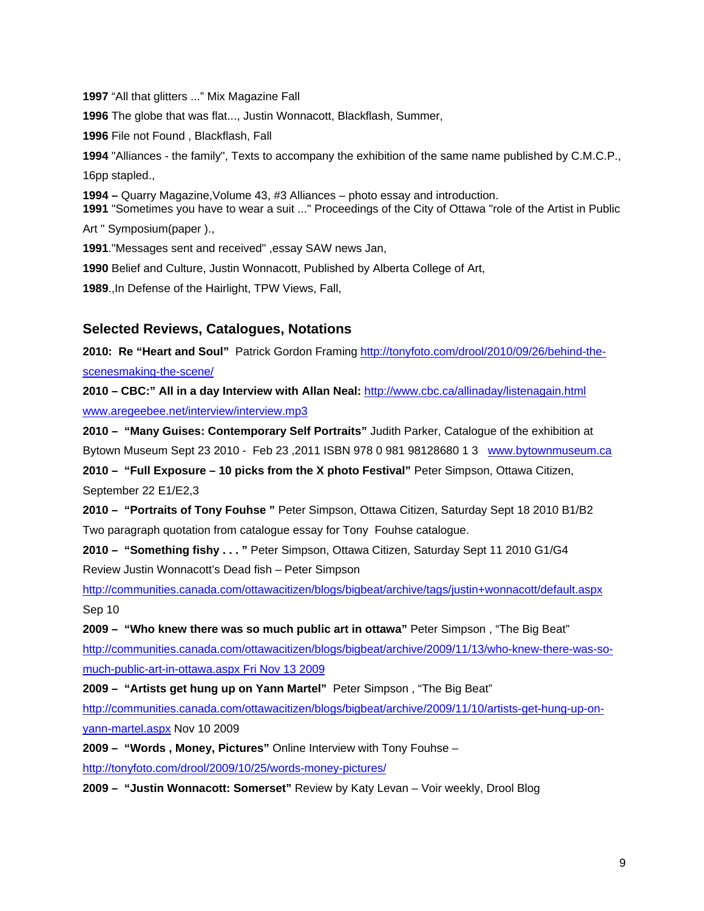"All that glitters ..." Mix Magazine Fall The globe that was flat..., Justin Wonnacott, Blackflash, Summer, File not Found , Blackflash, Fall "Alliances - the family", Texts to accompany the exhibition of the same name published by C.M.C.P., 16pp stapled., **1994 –** Quarry Magazine,Volume 43, #3 Alliances – photo essay and introduction. "Sometimes you have to wear a suit ..." Proceedings of the City of Ottawa "role of the Artist in Public Art " Symposium(paper )., ."Messages sent and received" ,essay SAW news Jan, Belief and Culture, Justin Wonnacott, Published by Alberta College of Art, .,In Defense of the Hairlight, TPW Views, Fall,

## **Selected Reviews, Catalogues, Notations**

**2010: Re "Heart and Soul"** Patrick Gordon Framing [http://tonyfoto.com/drool/2010/09/26/behind-the](http://tonyfoto.com/drool/2010/09/26/behind-the-scenesmaking-the-scene/)[scenesmaking-the-scene/](http://tonyfoto.com/drool/2010/09/26/behind-the-scenesmaking-the-scene/) 

**2010 – CBC:" All in a day Interview with Allan Neal:** <http://www.cbc.ca/allinaday/listenagain.html> [www.aregeebee.net/interview/interview.mp3](http://www.aregeebee.net/interview/interview.mp3)

**2010 – "Many Guises: Contemporary Self Portraits"** Judith Parker, Catalogue of the exhibition at Bytown Museum Sept 23 2010 - Feb 23 ,2011 ISBN 978 0 981 98128680 1 3 [www.bytownmuseum.ca](http://www.bytownmuseum.ca/)

**2010 – "Full Exposure – 10 picks from the X photo Festival"** Peter Simpson, Ottawa Citizen, September 22 E1/E2,3

**2010 – "Portraits of Tony Fouhse "** Peter Simpson, Ottawa Citizen, Saturday Sept 18 2010 B1/B2 Two paragraph quotation from catalogue essay for Tony Fouhse catalogue.

**2010 – "Something fishy . . . "** Peter Simpson, Ottawa Citizen, Saturday Sept 11 2010 G1/G4 Review Justin Wonnacott's Dead fish – Peter Simpson

<http://communities.canada.com/ottawacitizen/blogs/bigbeat/archive/tags/justin+wonnacott/default.aspx> Sep 10

**2009 – "Who knew there was so much public art in ottawa"** Peter Simpson , "The Big Beat" [http://communities.canada.com/ottawacitizen/blogs/bigbeat/archive/2009/11/13/who-knew-there-was-so](http://communities.canada.com/ottawacitizen/blogs/bigbeat/archive/2009/11/13/who-knew-there-was-so-much-public-art-in-ottawa.aspx%20Fri%20Nov%2013%202009)[much-public-art-in-ottawa.aspx Fri Nov 13 2009](http://communities.canada.com/ottawacitizen/blogs/bigbeat/archive/2009/11/13/who-knew-there-was-so-much-public-art-in-ottawa.aspx%20Fri%20Nov%2013%202009)

**2009 – "Artists get hung up on Yann Martel"** Peter Simpson , "The Big Beat"

[http://communities.canada.com/ottawacitizen/blogs/bigbeat/archive/2009/11/10/artists-get-hung-up-on](http://communities.canada.com/ottawacitizen/blogs/bigbeat/archive/2009/11/10/artists-get-hung-up-on-yann-martel.aspx)[yann-martel.aspx](http://communities.canada.com/ottawacitizen/blogs/bigbeat/archive/2009/11/10/artists-get-hung-up-on-yann-martel.aspx) Nov 10 2009

**2009 – "Words , Money, Pictures"** Online Interview with Tony Fouhse – <http://tonyfoto.com/drool/2009/10/25/words-money-pictures/>

**2009 – "Justin Wonnacott: Somerset"** Review by Katy Levan – Voir weekly, Drool Blog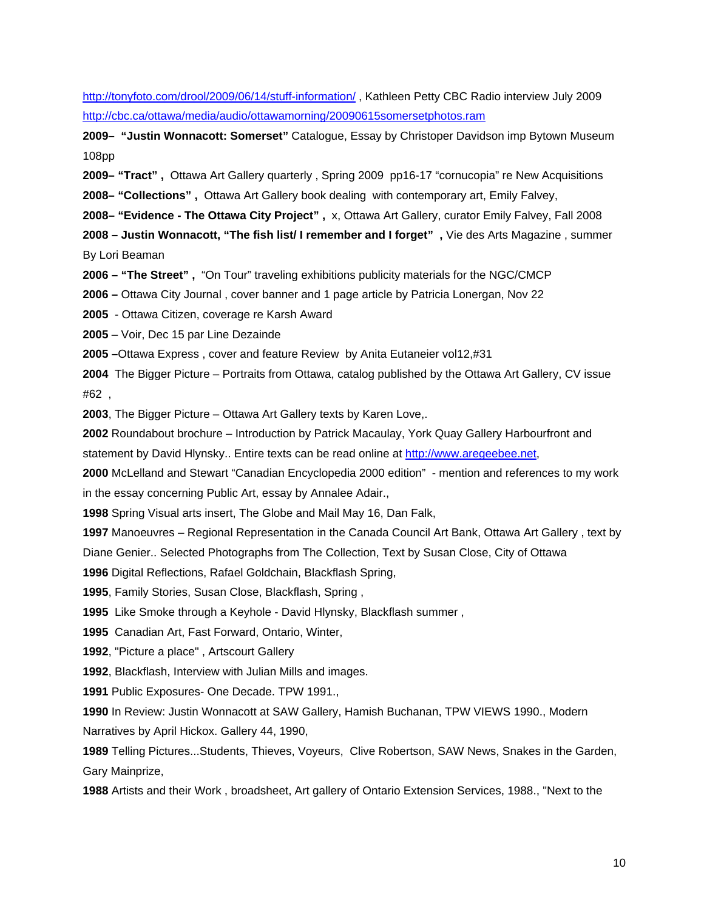<http://tonyfoto.com/drool/2009/06/14/stuff-information/> , Kathleen Petty CBC Radio interview July 2009 <http://cbc.ca/ottawa/media/audio/ottawamorning/20090615somersetphotos.ram>

**2009– "Justin Wonnacott: Somerset"** Catalogue, Essay by Christoper Davidson imp Bytown Museum 108pp

**2009– "Tract" ,** Ottawa Art Gallery quarterly , Spring 2009 pp16-17 "cornucopia" re New Acquisitions

**2008– "Collections" ,** Ottawa Art Gallery book dealing with contemporary art, Emily Falvey,

**2008– "Evidence - The Ottawa City Project" ,** x, Ottawa Art Gallery, curator Emily Falvey, Fall 2008

**2008 – Justin Wonnacott, "The fish list/ I remember and I forget" ,** Vie des Arts Magazine , summer By Lori Beaman

**2006 – "The Street" ,** "On Tour" traveling exhibitions publicity materials for the NGC/CMCP

**2006 –** Ottawa City Journal , cover banner and 1 page article by Patricia Lonergan, Nov 22

**2005** - Ottawa Citizen, coverage re Karsh Award

**2005** – Voir, Dec 15 par Line Dezainde

**2005 –**Ottawa Express , cover and feature Review by Anita Eutaneier vol12,#31

**2004** The Bigger Picture – Portraits from Ottawa, catalog published by the Ottawa Art Gallery, CV issue #62 ,

**2003**, The Bigger Picture – Ottawa Art Gallery texts by Karen Love,.

**2002** Roundabout brochure – Introduction by Patrick Macaulay, York Quay Gallery Harbourfront and

statement by David Hlynsky.. Entire texts can be read online at [http://www.aregeebee.net,](http://www.aregeebee.net/)

**2000** McLelland and Stewart "Canadian Encyclopedia 2000 edition" - mention and references to my work in the essay concerning Public Art, essay by Annalee Adair.,

**1998** Spring Visual arts insert, The Globe and Mail May 16, Dan Falk,

**1997** Manoeuvres – Regional Representation in the Canada Council Art Bank, Ottawa Art Gallery , text by

Diane Genier.. Selected Photographs from The Collection, Text by Susan Close, City of Ottawa

**1996** Digital Reflections, Rafael Goldchain, Blackflash Spring,

**1995**, Family Stories, Susan Close, Blackflash, Spring ,

**1995** Like Smoke through a Keyhole - David Hlynsky, Blackflash summer ,

**1995** Canadian Art, Fast Forward, Ontario, Winter,

**1992**, "Picture a place" , Artscourt Gallery

**1992**, Blackflash, Interview with Julian Mills and images.

**1991** Public Exposures- One Decade. TPW 1991.,

**1990** In Review: Justin Wonnacott at SAW Gallery, Hamish Buchanan, TPW VIEWS 1990., Modern Narratives by April Hickox. Gallery 44, 1990,

**1989** Telling Pictures...Students, Thieves, Voyeurs, Clive Robertson, SAW News, Snakes in the Garden, Gary Mainprize,

**1988** Artists and their Work , broadsheet, Art gallery of Ontario Extension Services, 1988., "Next to the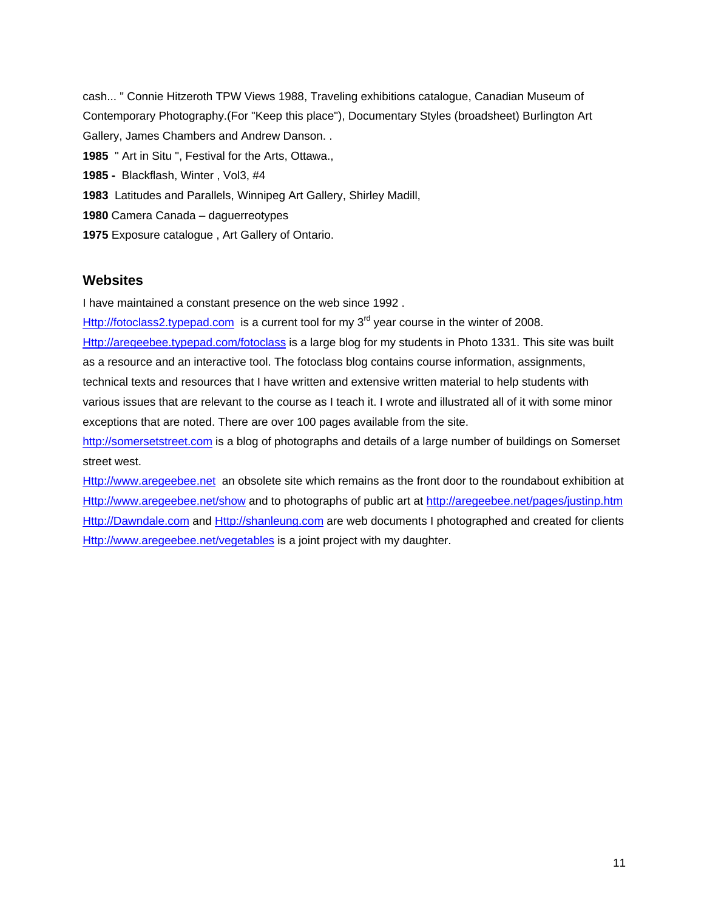cash... " Connie Hitzeroth TPW Views 1988, Traveling exhibitions catalogue, Canadian Museum of Contemporary Photography.(For "Keep this place"), Documentary Styles (broadsheet) Burlington Art Gallery, James Chambers and Andrew Danson. . **1985** " Art in Situ ", Festival for the Arts, Ottawa., **1985 -** Blackflash, Winter , Vol3, #4 **1983** Latitudes and Parallels, Winnipeg Art Gallery, Shirley Madill, **1980** Camera Canada – daguerreotypes **1975** Exposure catalogue , Art Gallery of Ontario.

### **Websites**

I have maintained a constant presence on the web since 1992 .

[Http://fotoclass2.typepad.com](http://fotoclass2.typepad.com/) is a current tool for my  $3<sup>rd</sup>$  year course in the winter of 2008.

[Http://aregeebee.typepad.com/fotoclass](http://aregeebee.typepad.com/fotoclass) is a large blog for my students in Photo 1331. This site was built as a resource and an interactive tool. The fotoclass blog contains course information, assignments, technical texts and resources that I have written and extensive written material to help students with various issues that are relevant to the course as I teach it. I wrote and illustrated all of it with some minor exceptions that are noted. There are over 100 pages available from the site.

[http://somersetstreet.com](http://somersetstreet.com/) is a blog of photographs and details of a large number of buildings on Somerset street west.

[Http://www.aregeebee.net](http://www.aregeebee.net/)an obsolete site which remains as the front door to the roundabout exhibition at [Http://www.aregeebee.net/show](http://www.aregeebee.net/show) and to photographs of public art at <http://aregeebee.net/pages/justinp.htm> [Http://Dawndale.com](http://dawndale.com/) and [Http://shanleung.com](http://shanleung.com/) are web documents I photographed and created for clients [Http://www.aregeebee.net/vegetables](http://www.aregeebee.net/vegetables) is a joint project with my daughter.